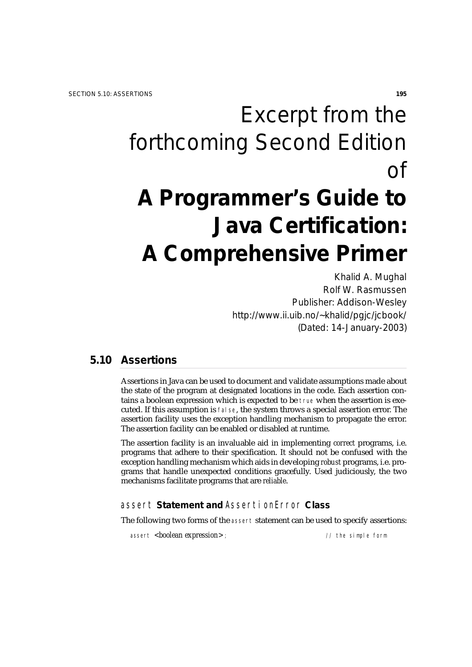# Excerpt from the forthcoming Second Edition of

# *A Programmer's Guide to Java Certification: A Comprehensive Primer*

Khalid A. Mughal Rolf W. Rasmussen Publisher: Addison-Wesley http://www.ii.uib.no/~khalid/pgjc/jcbook/ (Dated: 14-January-2003)

## **5.10 Assertions**

Assertions in Java can be used to document and validate assumptions made about the state of the program at designated locations in the code. Each assertion contains a boolean expression which is expected to be true when the assertion is executed. If this assumption is false, the system throws a special assertion error. The assertion facility uses the exception handling mechanism to propagate the error. The assertion facility can be enabled or disabled at runtime.

The assertion facility is an invaluable aid in implementing *correct* programs, i.e. programs that adhere to their specification. It should not be confused with the exception handling mechanism which aids in developing *robust* programs, i.e. programs that handle unexpected conditions gracefully. Used judiciously, the two mechanisms facilitate programs that are *reliable*.

## assert **Statement and** AssertionError **Class**

The following two forms of the assert statement can be used to specify assertions:

assert *<boolean expression>* ;  $\frac{1}{1}$  the simple form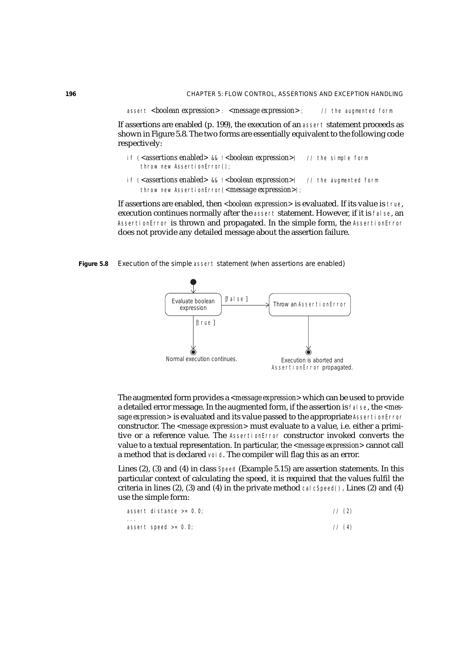```
assert <boolean expression> : <message expression> ; // the augmented form
```
If assertions are enabled (p. 199), the execution of an assert statement proceeds as shown in Figure 5.8. The two forms are essentially equivalent to the following code respectively:

- if (*<assertions enabled>* && !*<boolean expression>*) // the simple form throw new AssertionError();
- if (*<assertions enabled>* && !*<boolean expression>*) // the augmented form throw new AssertionError(*<message expression>*);

If assertions are enabled, then *<boolean expression>* is evaluated. If its value is true, execution continues normally after the assert statement. However, if it is false, an AssertionError is thrown and propagated. In the simple form, the AssertionError does not provide any detailed message about the assertion failure.

**Figure 5.8** *Execution of the simple* assert *statement (when assertions are enabled)*



The augmented form provides a *<message expression>* which can be used to provide a detailed error message. In the augmented form, if the assertion is false, the *<message expression>* is evaluated and its value passed to the appropriate AssertionError constructor. The *<message expression>* must evaluate to a value, i.e. either a primitive or a reference value. The AssertionError constructor invoked converts the value to a textual representation. In particular, the *<message expression>* cannot call a method that is declared void. The compiler will flag this as an error.

Lines (2), (3) and (4) in class Speed (Example 5.15) are assertion statements. In this particular context of calculating the speed, it is required that the values fulfil the criteria in lines (2), (3) and (4) in the private method calcSpeed(). Lines (2) and (4) use the simple form:

|   | assert distance >= $0.0$ ; | 1/ (2)   |  |
|---|----------------------------|----------|--|
| . | assert speed >= $0.0$ ;    | $1/$ (4) |  |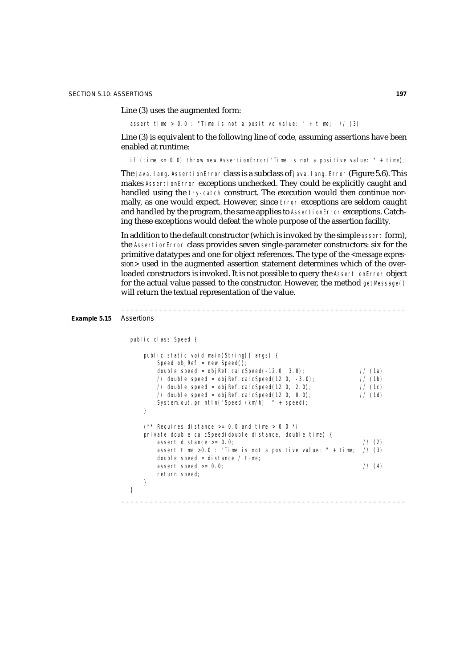#### Line (3) uses the augmented form:

assert time  $> 0.0$ : "Time is not a positive value: " + time; // (3)

Line (3) is equivalent to the following line of code, assuming assertions have been enabled at runtime:

if (time <= 0.0) throw new AssertionError("Time is not a positive value: " + time);

The java. Lang. AssertionError class is a subclass of java. Lang. Error (Figure 5.6). This makes AssertionError exceptions unchecked. They could be explicitly caught and handled using the try-catch construct. The execution would then continue normally, as one would expect. However, since Error exceptions are seldom caught and handled by the program, the same applies to AssertionError exceptions. Catching these exceptions would defeat the whole purpose of the assertion facility.

In addition to the default constructor (which is invoked by the simple assert form), the AssertionError class provides seven single-parameter constructors: six for the primitive datatypes and one for object references. The type of the *<message expression>* used in the augmented assertion statement determines which of the overloaded constructors is invoked. It is not possible to query the AssertionError object for the actual value passed to the constructor. However, the method getMessage() will return the textual representation of the value.

#### **Example 5.15** *Assertions*

```
public class Speed {
    public static void main(String[] args) {
       Speed obj Ref = new Speed():
        double speed = obj Ref.calcSpeed(-12.0, 3.0); // (1a)<br>
// double speed = obj Ref.calcSpeed(12.0, -3.0); // (1b)
       // double speed = obj Ref.calcSpeed(12.0, -3.0);
        // double speed = objRef.calcSpeed(12.0, 2.0); \frac{1}{2} (1c)
        // double speed = obj Ref.cal cSpeed(12.0, 0.0); \frac{1}{10} (1d)
        System.out.println("Speed (km/h): " + speed);
    }
    \frac{\gamma^{**}}{\gamma^{**}} Requires distance >= 0.0 and time > 0.0 \gamma private double calcSpeed(double distance, double time) {
       assert distance >= 0.0; // (2)assert time >0.0 : "Time is not a positive value: " + time; // (3)double speed = distance \ell time;
       assert speed >= 0.0; \frac{1}{10.0} return speed;
    }
}
```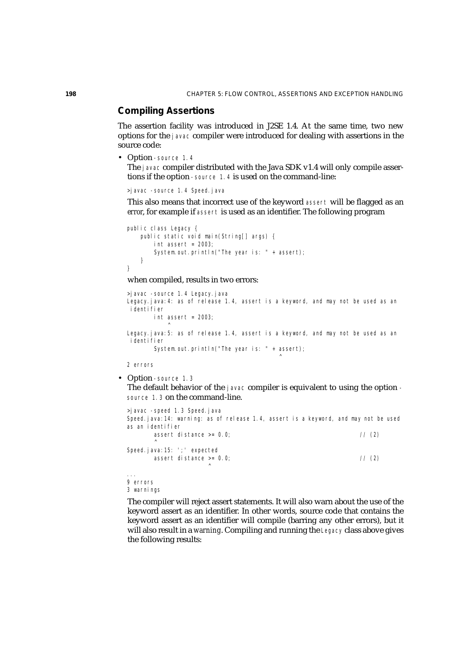## **Compiling Assertions**

The assertion facility was introduced in J2SE 1.4. At the same time, two new options for the javac compiler were introduced for dealing with assertions in the source code:

• Option - source 1.4

The javac compiler distributed with the Java SDK v1.4 will only compile assertions if the option -source 1.4 is used on the command-line:

```
>javac -source 1.4 Speed.java
```
This also means that incorrect use of the keyword assert will be flagged as an *error*, for example if assert is used as an identifier. The following program

```
public class Legacy {
    public static void main(String[] args) {
         int assert = 2003;
        System.out.println("The year is: " + assert);
    }
}
```
when compiled, results in two errors:

 $\wedge$ 

```
>javac -source 1.4 Legacy.java
Legacy.java:4: as of release 1.4, assert is a keyword, and may not be used as an
i denti fi er
       int assert = 2003;
\mathcal{L}Legacy.java:5: as of release 1.4, assert is a keyword, and may not be used as an
 identifier
       System.out.println("The year is: " + assert);
```
2 errors

• Option -source 1.3 The default behavior of the javac compiler is equivalent to using the option source 1.3 on the command-line.

```
>javac -speed 1.3 Speed.java
Speed.java:14: warning: as of release 1.4, assert is a keyword, and may not be used 
as an identifier
      assert distance >= 0.0; \frac{1}{2} (2)
\sim \simSpeed.java:15: ';' expected
      assert distance >= 0.0; // (2)\overline{\phantom{a}}...
9 errors
3 warnings
```
The compiler will reject assert statements. It will also warn about the use of the keyword assert as an identifier. In other words, source code that contains the keyword assert as an identifier will compile (barring any other errors), but it will also result in a *warning*. Compiling and running the Legacy class above gives the following results: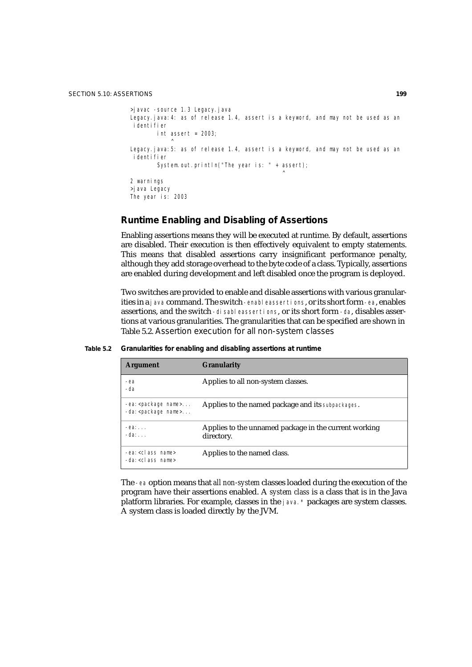```
>javac -source 1.3 Legacy.java
Legacy.java:4: as of release 1.4, assert is a keyword, and may not be used as an
i denti fi er
      int assert = 2003\sim \simLegacy.java:5: as of release 1.4, assert is a keyword, and may not be used as an
 identifier
       System.out.println("The year is: " + assert);
\wedge2 warnings
>java Legacy
The year is: 2003
```
## **Runtime Enabling and Disabling of Assertions**

Enabling assertions means they will be executed at runtime. By default, assertions are disabled. Their execution is then effectively equivalent to empty statements. This means that disabled assertions carry insignificant performance penalty, although they add storage overhead to the byte code of a class. Typically, assertions are enabled during development and left disabled once the program is deployed.

Two switches are provided to enable and disable assertions with various granularities in a java command. The switch -enableassertions, or its short form -ea, enables assertions, and the switch -disableassertions, or its short form -da, disables assertions at various granularities. The granularities that can be specified are shown in Table 5.2. *Assertion execution for all non-system classes*

**Table 5.2** *Granularities for enabling and disabling assertions at runtime*

| <b>Argument</b>                                                       | <b>Granularity</b>                                                  |
|-----------------------------------------------------------------------|---------------------------------------------------------------------|
| -ea<br>-da                                                            | Applies to all non-system classes.                                  |
| -ea: <package name=""><br/>-da: <package name=""></package></package> | Applies to the named package and its subpackages.                   |
| $-ea: \ldots$<br>$-da$ :                                              | Applies to the unnamed package in the current working<br>directory. |
| $-ea: < cl \text{ ass}$ name><br>$-da$ : $< c1a$ ss name>             | Applies to the named class.                                         |

The -ea option means that *all non-system* classes loaded during the execution of the program have their assertions enabled. A *system class* is a class that is in the Java platform libraries. For example, classes in the java.\* packages are system classes. A system class is loaded directly by the JVM.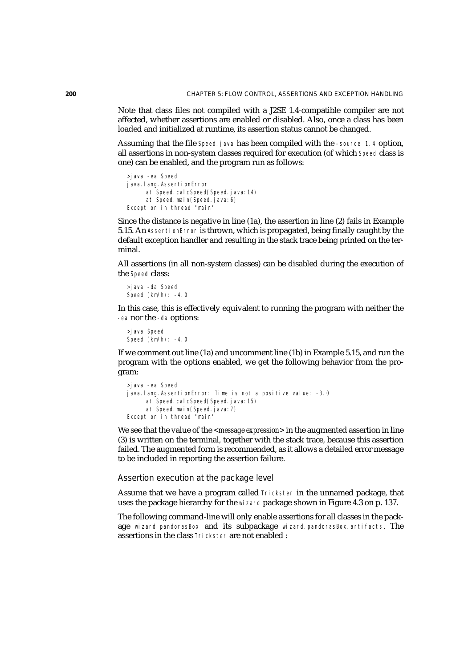Note that class files not compiled with a J2SE 1.4-compatible compiler are not affected, whether assertions are enabled or disabled. Also, once a class has been loaded and initialized at runtime, its assertion status cannot be changed.

Assuming that the file Speed. java has been compiled with the -source 1.4 option, all assertions in non-system classes required for execution (of which Speed class is one) can be enabled, and the program run as follows:

```
>java -ea Speed
java. I ang. Asserti onError
      at Speed.calcSpeed(Speed.java:14)
      at Speed.main(Speed.java:6)
Exception in thread "main"
```
Since the distance is negative in line (1a), the assertion in line (2) fails in Example 5.15. An AssertionError is thrown, which is propagated, being finally caught by the default exception handler and resulting in the stack trace being printed on the terminal.

All assertions (in all non-system classes) can be disabled during the execution of the Speed class:

```
>java -da Speed
Speed (km/h): -4.0
```
In this case, this is effectively equivalent to running the program with neither the -ea nor the -da options:

>java Speed Speed (km/h): -4.0

If we comment out line (1a) and uncomment line (1b) in Example 5.15, and run the program with the options enabled, we get the following behavior from the program:

```
>java -ea Speed
java.lang.AssertionError: Time is not a positive value: -3.0
     at Speed.calcSpeed(Speed.java: 15)
     at Speed.main(Speed.java:7)
Exception in thread "main"
```
We see that the value of the *<message expression>* in the augmented assertion in line (3) is written on the terminal, together with the stack trace, because this assertion failed. The augmented form is recommended, as it allows a detailed error message to be included in reporting the assertion failure.

#### *Assertion execution at the package level*

Assume that we have a program called Trickster in the unnamed package, that uses the package hierarchy for the wizard package shown in Figure 4.3 on p. 137.

The following command-line will only enable assertions for all classes in the package wizard.pandorasBox and its subpackage wizard.pandorasBox.artifacts. The assertions in the class Trickster are not enabled :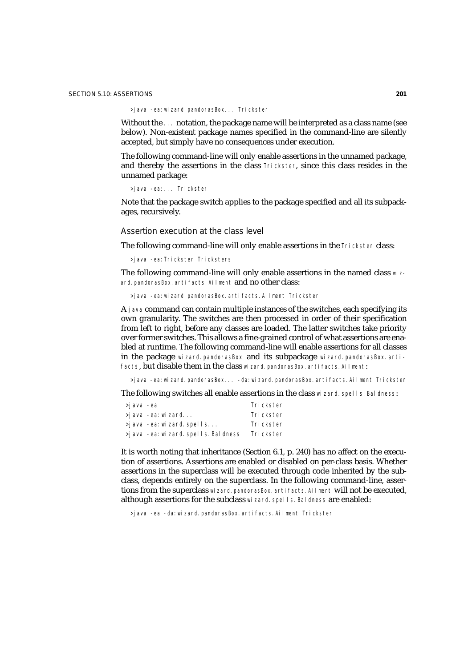>i ava -ea: wi zard. pandorasBox... Trickster

Without the ... notation, the package name will be interpreted as a class name (see below). Non-existent package names specified in the command-line are silently accepted, but simply have no consequences under execution.

The following command-line will only enable assertions in the unnamed package, and thereby the assertions in the class Trickster, since this class resides in the unnamed package:

>java -ea:... Trickster

Note that the package switch applies to the package specified and all its subpackages, recursively.

#### *Assertion execution at the class level*

The following command-line will only enable assertions in the Trickster class:

>java -ea:Trickster Tricksters

The following command-line will only enable assertions in the named class wizard.pandorasBox.artifacts.Ailment and no other class:

>java -ea: wizard.pandorasBox.artifacts.Ailment Trickster

A java command can contain multiple instances of the switches, each specifying its own granularity. The switches are then processed in order of their specification from left to right, before any classes are loaded. The latter switches take priority over former switches. This allows a fine-grained control of what assertions are enabled at runtime. The following command-line will enable assertions for all classes in the package wizard.pandorasBox and its subpackage wizard.pandorasBox.artifacts, but disable them in the class wizard. pandorasBox. artifacts. Ailment:

>java -ea:wizard.pandorasBox... -da:wizard.pandorasBox.artifacts.Ailment Trickster

The following switches all enable assertions in the class wi zard. spells. Baldness:

| >i ava -ea                               | Tri ckster |
|------------------------------------------|------------|
| $>$ j ava -ea: wi zard                   | Tri ckster |
| $>$ j ava -ea: wi zard. spells           | Tri ckster |
| >j ava -ea: wi zard. spel I s. Bal dness | Tri ckster |

It is worth noting that inheritance (Section 6.1, p. 240) has no affect on the execution of assertions. Assertions are enabled or disabled on per-class basis. Whether assertions in the superclass will be executed through code inherited by the subclass, depends entirely on the superclass. In the following command-line, assertions from the superclass wizard.pandorasBox.artifacts.Ailment will not be executed, although assertions for the subclass wizard. spells. Baldness are enabled:

>j ava -ea -da: wizard.pandorasBox.artifacts. Ailment Trickster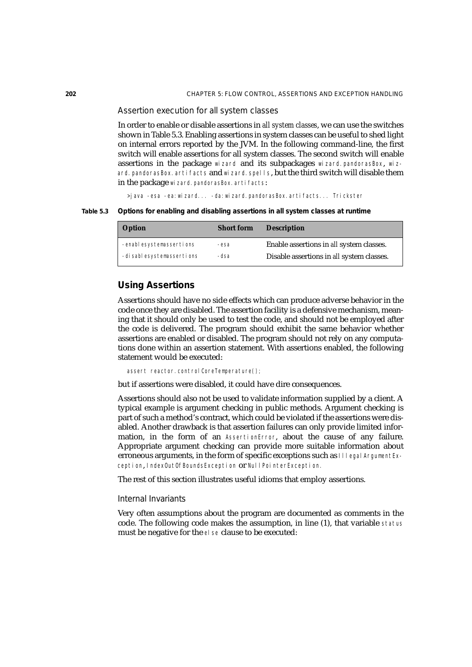#### *Assertion execution for all system classes*

In order to enable or disable assertions in *all system classes*, we can use the switches shown in Table 5.3. Enabling assertions in system classes can be useful to shed light on internal errors reported by the JVM. In the following command-line, the first switch will enable assertions for all system classes. The second switch will enable assertions in the package wizard and its subpackages wizard.pandorasBox, wizard. pandorasBox. arti facts and wizard. spells, but the third switch will disable them in the package wizard.pandorasBox.artifacts:

>java -esa -ea:wizard... -da:wizard.pandorasBox.artifacts... Trickster

**Table 5.3** *Options for enabling and disabling assertions in all system classes at runtime*

| Option                   | <b>Short form</b> | <b>Description</b>                        |
|--------------------------|-------------------|-------------------------------------------|
| -enablesystemassertions  | -esa              | Enable assertions in all system classes.  |
| -disablesystemassertions | -dsa              | Disable assertions in all system classes. |

## **Using Assertions**

Assertions should have no side effects which can produce adverse behavior in the code once they are disabled. The assertion facility is a defensive mechanism, meaning that it should only be used to test the code, and should not be employed after the code is delivered. The program should exhibit the same behavior whether assertions are enabled or disabled. The program should not rely on any computations done within an assertion statement. With assertions enabled, the following statement would be executed:

assert reactor.controlCoreTemperature();

but if assertions were disabled, it could have dire consequences.

Assertions should also not be used to validate information supplied by a client. A typical example is argument checking in public methods. Argument checking is part of such a method's contract, which could be violated if the assertions were disabled. Another drawback is that assertion failures can only provide limited information, in the form of an AssertionError, about the cause of any failure. Appropriate argument checking can provide more suitable information about erroneous arguments, in the form of specific exceptions such as III eqal ArgumentException, IndexOutOfBoundsException or NullPointerException.

The rest of this section illustrates useful idioms that employ assertions.

#### *Internal Invariants*

Very often assumptions about the program are documented as comments in the code. The following code makes the assumption, in line (1), that variable status must be negative for the else clause to be executed: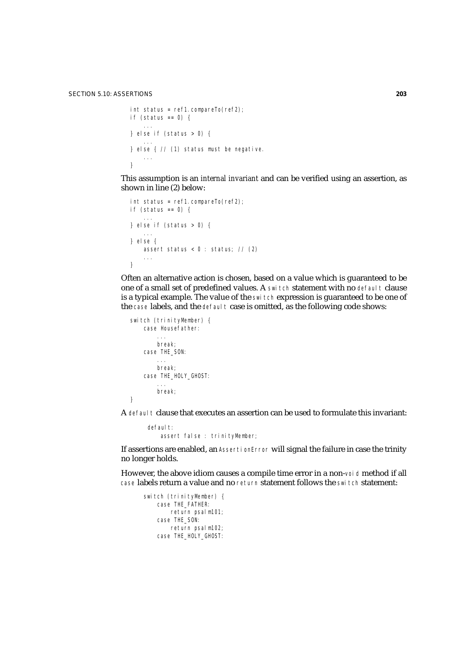```
int status = ref1.compareTo(ref2);
if (status == 0) {
 ...
\} else if (status > 0) {
     ...
} else { // (1) status must be negative.
    ...
}
```
This assumption is an *internal invariant* and can be verified using an assertion, as shown in line (2) below:

```
int status = ref1.compareTo(ref2);
if (status == 0) {
 ...
} else if (status > 0) {
} else { 
   assert status < 0 : status; // (2)
     ...
}
```
Often an alternative action is chosen, based on a value which is guaranteed to be one of a small set of predefined values. A switch statement with no default clause is a typical example. The value of the switch expression is guaranteed to be one of the case labels, and the default case is omitted, as the following code shows:

```
switch (trinityMember) {
     case Housefather:
 ...
         break;
    case THE_SON:
         ...
         break;
    case THE_HOLY_GHOST:
 ...
         break;
}
```
A default clause that executes an assertion can be used to formulate this invariant:

```
defaul t:
     assert false : trinityMember;
```
If assertions are enabled, an AssertionError will signal the failure in case the trinity no longer holds.

However, the above idiom causes a compile time error in a non-void method if all case labels return a value and no return statement follows the switch statement:

```
 switch (trinityMember) {
     case THE_FATHER:
         return psalm101;
     case THE_SON:
        return psalm102;
    case THE HOLY GHOST:
```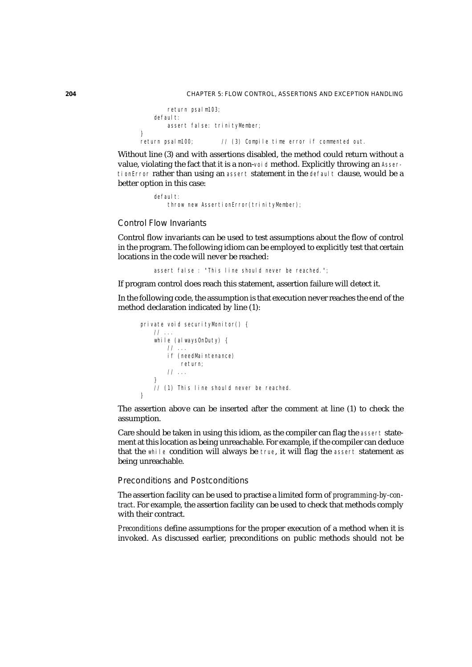```
 return psalm103;
    default:
        assert false: trinityMember;
 }
return psalm100; \frac{1}{2} (3) Compile time error if commented out.
```
Without line (3) and with assertions disabled, the method could return without a value, violating the fact that it is a non-void method. Explicitly throwing an AssertionError rather than using an assert statement in the default clause, would be a better option in this case:

```
defaul t:
     throw new AssertionError(trinityMember);
```
## *Control Flow Invariants*

Control flow invariants can be used to test assumptions about the flow of control in the program. The following idiom can be employed to explicitly test that certain locations in the code will never be reached:

assert false : "This line should never be reached.";

If program control does reach this statement, assertion failure will detect it.

In the following code, the assumption is that execution never reaches the end of the method declaration indicated by line (1):

```
private void securityMonitor() {
     \frac{1}{2}...
     while (alwaysOnDuty) {
          // ...
          if (needMaintenance)
               return;
         \frac{1}{2}...
      }
      // (1) This line should never be reached.
 }
```
The assertion above can be inserted after the comment at line (1) to check the assumption.

Care should be taken in using this idiom, as the compiler can flag the assert statement at this location as being unreachable. For example, if the compiler can deduce that the while condition will always be true, it will flag the assert statement as being unreachable.

### *Preconditions and Postconditions*

The assertion facility can be used to practise a limited form of *programming-by-contract*. For example, the assertion facility can be used to check that methods comply with their contract.

*Preconditions* define assumptions for the proper execution of a method when it is invoked. As discussed earlier, preconditions on public methods should not be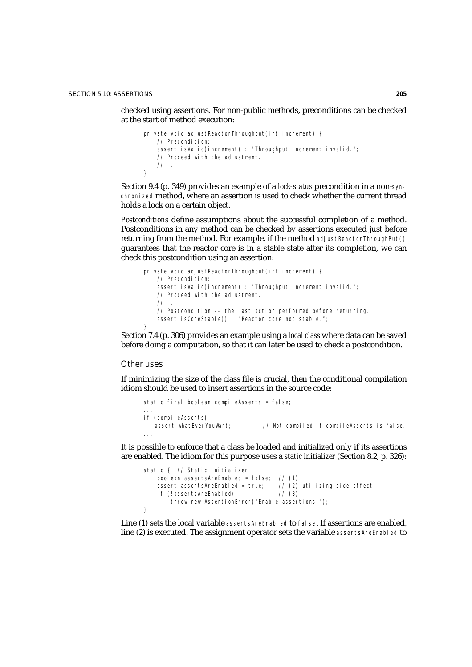checked using assertions. For non-public methods, preconditions can be checked at the start of method execution:

```
 private void adjustReactorThroughput(int increment) {
    // Precondition:
     assert isValid(increment) : "Throughput increment invalid."; 
     // Proceed with the adjustment.
     // ...
 }
```
Section 9.4 (p. 349) provides an example of a *lock-status* precondition in a non-synchronized method, where an assertion is used to check whether the current thread holds a lock on a certain object.

*Postconditions* define assumptions about the successful completion of a method. Postconditions in any method can be checked by assertions executed just before returning from the method. For example, if the method adjustReactorThroughPut() guarantees that the reactor core is in a stable state after its completion, we can check this postcondition using an assertion:

```
 private void adjustReactorThroughput(int increment) {
    // Precondition:
     assert isValid(increment) : "Throughput increment invalid.";
     // Proceed with the adjustment.
    \frac{1}{2}// Postcondition -- the last action performed before returning.
     assert isCoreStable() : "Reactor core not stable.";
 }
```
Section 7.4 (p. 306) provides an example using a *local class* where data can be saved before doing a computation, so that it can later be used to check a postcondition.

## *Other uses*

If minimizing the size of the class file is crucial, then the conditional compilation idiom should be used to insert assertions in the source code:

```
static final boolean compileAsserts = false;
 ...
    if (compileAsserts)
      assert whatEverYouWant; // Not compiled if compileAsserts is false.
 ...
```
It is possible to enforce that a class be loaded and initialized only if its assertions are enabled. The idiom for this purpose uses a *static initializer* (Section 8.2, p. 326):

```
static { // Static initializer
    boolean assertsAreEnabled = false; // (1)
   assert assertsAreEnabled = true; \frac{1}{2} utilizing side effect
    if (!assertsAreEnabled) // (3)
         throw new AssertionError("Enable assertions!");
 }
```
Line (1) sets the local variable assertsAreEnabled to false. If assertions are enabled, line (2) is executed. The assignment operator sets the variable assertsAreEnabled to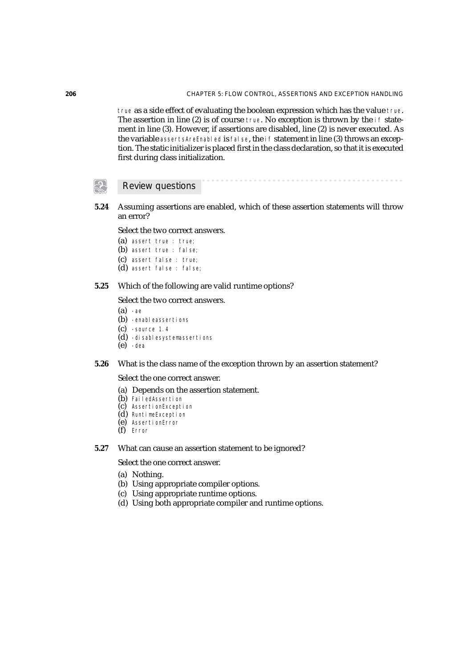true as a side effect of evaluating the boolean expression which has the value true. The assertion in line (2) is of course true. No exception is thrown by the if statement in line (3). However, if assertions are disabled, line (2) is never executed. As the variable assertsAreEnabled is false, the if statement in line (3) throws an exception. The static initializer is placed first in the class declaration, so that it is executed first during class initialization.



## Review questions

**5.24** Assuming assertions are enabled, which of these assertion statements will throw an error?

#### Select the two correct answers.

- (a) assert true : true;
- (b) assert true : false;
- (c) assert false : true;
- (d) assert false : false;

#### **5.25** Which of the following are valid runtime options?

#### Select the two correct answers.

- (a) -ae
- (b) -enableassertions
- (c) -source 1.4
- $(d)$  -disablesystemassertions
- (e) -dea

#### **5.26** What is the class name of the exception thrown by an assertion statement?

#### Select the one correct answer.

- (a) Depends on the assertion statement.
- (b) FailedAssertion
- (c) AssertionException
- (d) RuntimeException (e) AssertionError
- (f) Error
- 

#### **5.27** What can cause an assertion statement to be ignored?

Select the one correct answer.

- (a) Nothing.
- (b) Using appropriate compiler options.
- (c) Using appropriate runtime options.
- (d) Using both appropriate compiler and runtime options.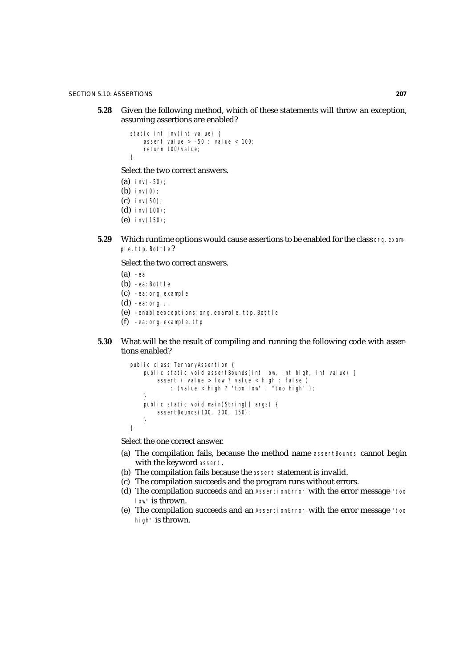**5.28** Given the following method, which of these statements will throw an exception, assuming assertions are enabled?

```
static int inv(int value) {
     assert value > -50 : value < 100;
    return 100/value;
}
```
Select the two correct answers.

- (a) inv(-50);
- (b) inv(0);
- (c) inv(50);
- (d) inv(100);
- (e) inv(150);
- **5.29** Which runtime options would cause assertions to be enabled for the class org. example.ttp.Bottle?

Select the two correct answers.

- $(a)$  -ea
- (b) -ea:Bottle
- (c) -ea:org.example
- (d) -ea:org...
- (e) -enableexceptions:org.example.ttp.Bottle
- $(f)$  -ea: org. example. ttp
- **5.30** What will be the result of compiling and running the following code with assertions enabled?

```
public class TernaryAssertion {
     public static void assertBounds(int low, int high, int value) {
       assert ( value > low ? value < high : fal se)
             : (value < high ? "too low" : "too high" );
     }
     public static void main(String[] args) {
         assertBounds(100, 200, 150);
     }
}
```
Select the one correct answer.

- (a) The compilation fails, because the method name assertBounds cannot begin with the keyword assert.
- (b) The compilation fails because the assert statement is invalid.
- (c) The compilation succeeds and the program runs without errors.
- (d) The compilation succeeds and an AssertionError with the error message "too low" is thrown.
- (e) The compilation succeeds and an AssertionError with the error message "too high" is thrown.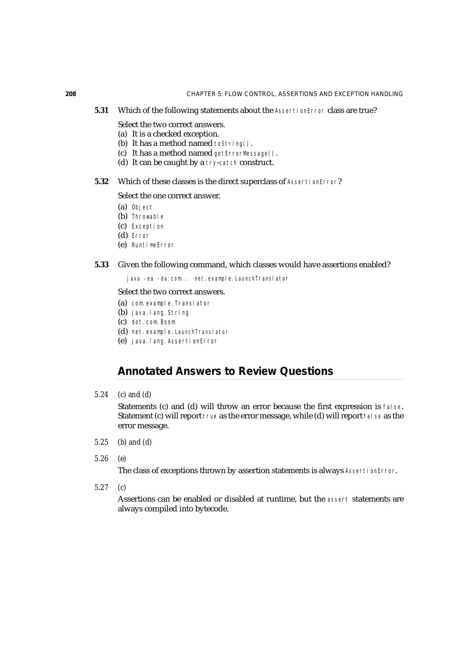#### **5.31** Which of the following statements about the AssertionError class are true?

- Select the two correct answers.
- (a) It is a checked exception.
- (b) It has a method named toString().
- (c) It has a method named getErrorMessage().
- (d) It can be caught by a try-catch construct.

#### **5.32** Which of these classes is the direct superclass of AssertionError?

Select the one correct answer.

- (a) Object
- (b) Throwable
- (c) Exception
- (d) Error
- (e) RuntimeError

#### **5.33** Given the following command, which classes would have assertions enabled?

java -ea -da:com... net.example.LaunchTranslator

## Select the two correct answers.

- (a) com.example.Translator
- (b) java.lang.String
- (c) dot.com.Boom
- (d) net. example. LaunchTranslator
- (e) java.lang.AssertionError

## **Annotated Answers to Review Questions**

*5.24 (c) and (d)*

Statements (c) and (d) will throw an error because the first expression is false. Statement (c) will report true as the error message, while (d) will report fal se as the error message.

- *5.25 (b) and (d)*
- *5.26 (e)*

The class of exceptions thrown by assertion statements is always AssertionError.

*5.27 (c)*

Assertions can be enabled or disabled at runtime, but the assert statements are always compiled into bytecode.